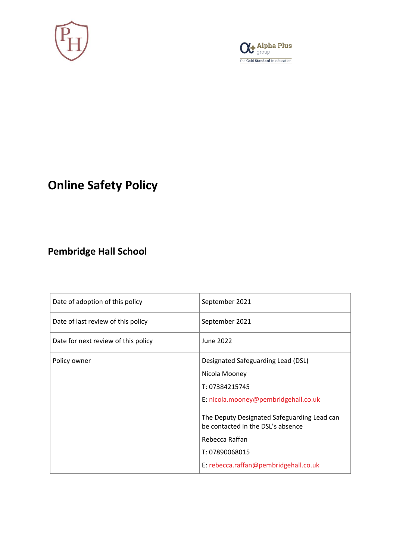



# **Online Safety Policy**

## **Pembridge Hall School**

| Date of adoption of this policy     | September 2021                                                                   |  |  |
|-------------------------------------|----------------------------------------------------------------------------------|--|--|
| Date of last review of this policy  | September 2021                                                                   |  |  |
| Date for next review of this policy | June 2022                                                                        |  |  |
| Policy owner                        | Designated Safeguarding Lead (DSL)                                               |  |  |
|                                     | Nicola Mooney                                                                    |  |  |
|                                     | T: 07384215745                                                                   |  |  |
|                                     | E: nicola.mooney@pembridgehall.co.uk                                             |  |  |
|                                     | The Deputy Designated Safeguarding Lead can<br>be contacted in the DSL's absence |  |  |
|                                     | Rebecca Raffan                                                                   |  |  |
|                                     | T: 07890068015                                                                   |  |  |
|                                     | E: rebecca.raffan@pembridgehall.co.uk                                            |  |  |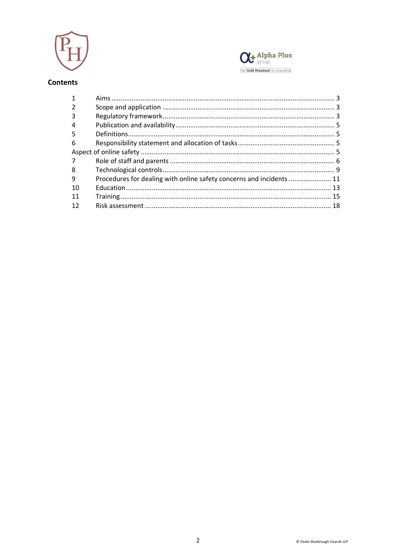



#### Contents

| 3  |                                                                      |  |
|----|----------------------------------------------------------------------|--|
| 4  |                                                                      |  |
| 5. |                                                                      |  |
| 6  |                                                                      |  |
|    |                                                                      |  |
| 7  |                                                                      |  |
| 8  |                                                                      |  |
| 9  | Procedures for dealing with online safety concerns and incidents  11 |  |
| 10 |                                                                      |  |
| 11 |                                                                      |  |
| 12 |                                                                      |  |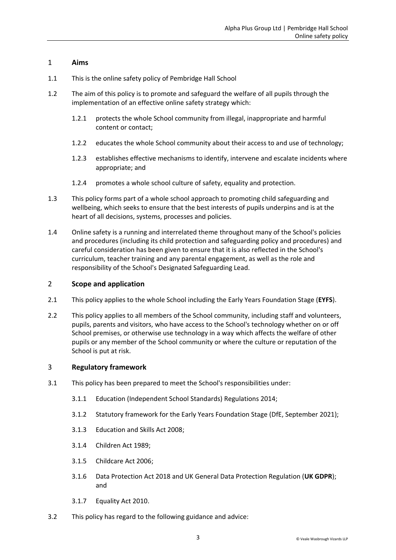#### <span id="page-2-0"></span>1 **Aims**

- 1.1 This is the online safety policy of Pembridge Hall School
- 1.2 The aim of this policy is to promote and safeguard the welfare of all pupils through the implementation of an effective online safety strategy which:
	- 1.2.1 protects the whole School community from illegal, inappropriate and harmful content or contact;
	- 1.2.2 educates the whole School community about their access to and use of technology;
	- 1.2.3 establishes effective mechanisms to identify, intervene and escalate incidents where appropriate; and
	- 1.2.4 promotes a whole school culture of safety, equality and protection.
- 1.3 This policy forms part of a whole school approach to promoting child safeguarding and wellbeing, which seeks to ensure that the best interests of pupils underpins and is at the heart of all decisions, systems, processes and policies.
- 1.4 Online safety is a running and interrelated theme throughout many of the School's policies and procedures (including its child protection and safeguarding policy and procedures) and careful consideration has been given to ensure that it is also reflected in the School's curriculum, teacher training and any parental engagement, as well as the role and responsibility of the School's Designated Safeguarding Lead.

#### <span id="page-2-1"></span>2 **Scope and application**

- 2.1 This policy applies to the whole School including the Early Years Foundation Stage (**EYFS**).
- 2.2 This policy applies to all members of the School community, including staff and volunteers, pupils, parents and visitors, who have access to the School's technology whether on or off School premises, or otherwise use technology in a way which affects the welfare of other pupils or any member of the School community or where the culture or reputation of the School is put at risk.

#### <span id="page-2-2"></span>3 **Regulatory framework**

- 3.1 This policy has been prepared to meet the School's responsibilities under:
	- 3.1.1 Education (Independent School Standards) Regulations 2014;
	- 3.1.2 Statutory framework for the Early Years Foundation Stage (DfE, September 2021);
	- 3.1.3 Education and Skills Act 2008;
	- 3.1.4 Children Act 1989;
	- 3.1.5 Childcare Act 2006;
	- 3.1.6 Data Protection Act 2018 and UK General Data Protection Regulation (**UK GDPR**); and
	- 3.1.7 Equality Act 2010.
- 3.2 This policy has regard to the following guidance and advice: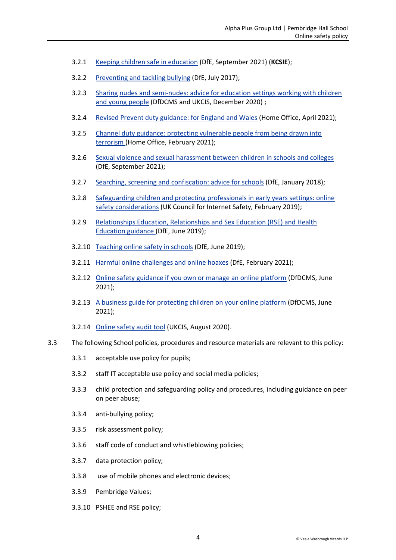- 3.2.1 [Keeping children safe in education](https://www.gov.uk/government/publications/keeping-children-safe-in-education--2) (DfE, September 2021) (**KCSIE**);
- 3.2.2 [Preventing and tackling bullying](https://www.gov.uk/government/publications/preventing-and-tackling-bullying) (DfE, July 2017);
- 3.2.3 Sharing [nudes and semi-nudes: advice for education settings working with children](https://www.gov.uk/government/publications/sharing-nudes-and-semi-nudes-advice-for-education-settings-working-with-children-and-young-people/sharing-nudes-and-semi-nudes-advice-for-education-settings-working-with-children-and-young-people)  [and young people](https://www.gov.uk/government/publications/sharing-nudes-and-semi-nudes-advice-for-education-settings-working-with-children-and-young-people/sharing-nudes-and-semi-nudes-advice-for-education-settings-working-with-children-and-young-people) (DfDCMS and UKCIS, December 2020) ;
- 3.2.4 [Revised Prevent duty guidance: for England and Wales](https://www.gov.uk/government/publications/prevent-duty-guidance/revised-prevent-duty-guidance-for-england-and-wales) (Home Office, April 2021);
- 3.2.5 [Channel duty guidance: protecting vulnerable people from being drawn into](https://www.gov.uk/government/publications/channel-and-prevent-multi-agency-panel-pmap-guidance)  [terrorism \(](https://www.gov.uk/government/publications/channel-and-prevent-multi-agency-panel-pmap-guidance)Home Office, February 2021);
- 3.2.6 [Sexual violence and sexual harassment between children in schools and colleges](https://www.gov.uk/government/publications/sexual-violence-and-sexual-harassment-between-children-in-schools-and-colleges)  (DfE, September 2021);
- 3.2.7 Searching, screening [and confiscation: advice for schools](https://www.gov.uk/government/publications/searching-screening-and-confiscation) (DfE, January 2018);
- 3.2.8 [Safeguarding children and protecting professionals in early years settings: online](https://www.gov.uk/government/publications/safeguarding-children-and-protecting-professionals-in-early-years-settings-online-safety-considerations)  [safety considerations](https://www.gov.uk/government/publications/safeguarding-children-and-protecting-professionals-in-early-years-settings-online-safety-considerations) (UK Council for Internet Safety, February 2019);
- 3.2.9 [Relationships Education, Relationships and Sex Education \(RSE\) and Health](https://www.gov.uk/government/publications/relationships-education-relationships-and-sex-education-rse-and-health-education)  [Education guidance \(](https://www.gov.uk/government/publications/relationships-education-relationships-and-sex-education-rse-and-health-education)DfE, June 2019);
- 3.2.10 [Teaching online safety in schools](https://www.gov.uk/government/publications/teaching-online-safety-in-schools) (DfE, June 2019);
- 3.2.11 [Harmful online challenges and online hoaxes](https://www.gov.uk/government/publications/harmful-online-challenges-and-online-hoaxes) (DfE, February 2021);
- 3.2.12 [Online safety guidance if you own or manage an online platform](https://www.gov.uk/government/collections/online-safety-guidance-if-you-own-or-manage-an-online-platform) (DfDCMS, June 2021);
- 3.2.13 A [business guide for protecting children on your online platform](https://www.gov.uk/government/collections/a-business-guide-for-protecting-children-on-your-online-platform) (DfDCMS, June 2021);
- 3.2.14 [Online safety audit tool](https://www.gov.uk/government/publications/ukcis-online-safety-audit-tool) (UKCIS, August 2020).
- 3.3 The following School policies, procedures and resource materials are relevant to this policy:
	- 3.3.1 acceptable use policy for pupils;
	- 3.3.2 staff IT acceptable use policy and social media policies;
	- 3.3.3 child protection and safeguarding policy and procedures, including guidance on peer on peer abuse;
	- 3.3.4 anti-bullying policy;
	- 3.3.5 risk assessment policy;
	- 3.3.6 staff code of conduct and whistleblowing policies;
	- 3.3.7 data protection policy;
	- 3.3.8 use of mobile phones and electronic devices;
	- 3.3.9 Pembridge Values;
	- 3.3.10 PSHEE and RSE policy;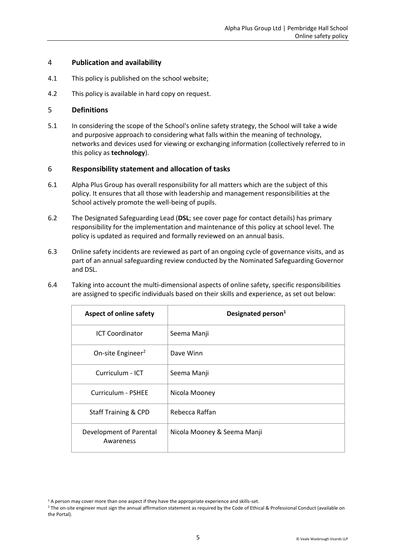#### <span id="page-4-0"></span>4 **Publication and availability**

- 4.1 This policy is published on the school website;
- 4.2 This policy is available in hard copy on request.

#### <span id="page-4-1"></span>5 **Definitions**

5.1 In considering the scope of the School's online safety strategy, the School will take a wide and purposive approach to considering what falls within the meaning of technology, networks and devices used for viewing or exchanging information (collectively referred to in this policy as **technology**).

#### <span id="page-4-2"></span>6 **Responsibility statement and allocation of tasks**

- 6.1 Alpha Plus Group has overall responsibility for all matters which are the subject of this policy. It ensures that all those with leadership and management responsibilities at the School actively promote the well-being of pupils.
- 6.2 The Designated Safeguarding Lead (**DSL**; see cover page for contact details) has primary responsibility for the implementation and maintenance of this policy at school level. The policy is updated as required and formally reviewed on an annual basis.
- 6.3 Online safety incidents are reviewed as part of an ongoing cycle of governance visits, and as part of an annual safeguarding review conducted by the Nominated Safeguarding Governor and DSL.
- 6.4 Taking into account the multi-dimensional aspects of online safety, specific responsibilities are assigned to specific individuals based on their skills and experience, as set out below:

<span id="page-4-3"></span>

| <b>Aspect of online safety</b>       | Designated person <sup>1</sup> |  |
|--------------------------------------|--------------------------------|--|
| <b>ICT Coordinator</b>               | Seema Manji                    |  |
| On-site Engineer <sup>2</sup>        | Dave Winn                      |  |
| Curriculum - ICT                     | Seema Manji                    |  |
| Curriculum - PSHEE                   | Nicola Mooney                  |  |
| <b>Staff Training &amp; CPD</b>      | Rebecca Raffan                 |  |
| Development of Parental<br>Awareness | Nicola Mooney & Seema Manji    |  |

<sup>&</sup>lt;sup>1</sup> A person may cover more than one aspect if they have the appropriate experience and skills-set.

<sup>&</sup>lt;sup>2</sup> The on-site engineer must sign the annual affirmation statement as required by the Code of Ethical & Professional Conduct (available on the Portal).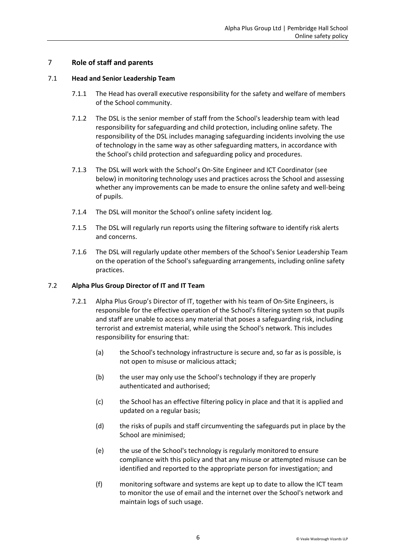#### <span id="page-5-0"></span>7 **Role of staff and parents**

#### 7.1 **Head and Senior Leadership Team**

- 7.1.1 The Head has overall executive responsibility for the safety and welfare of members of the School community.
- 7.1.2 The DSL is the senior member of staff from the School's leadership team with lead responsibility for safeguarding and child protection, including online safety. The responsibility of the DSL includes managing safeguarding incidents involving the use of technology in the same way as other safeguarding matters, in accordance with the School's child protection and safeguarding policy and procedures.
- 7.1.3 The DSL will work with the School's On-Site Engineer and ICT Coordinator (see below) in monitoring technology uses and practices across the School and assessing whether any improvements can be made to ensure the online safety and well-being of pupils.
- 7.1.4 The DSL will monitor the School's online safety incident log.
- 7.1.5 The DSL will regularly run reports using the filtering software to identify risk alerts and concerns.
- 7.1.6 The DSL will regularly update other members of the School's Senior Leadership Team on the operation of the School's safeguarding arrangements, including online safety practices.

#### 7.2 **Alpha Plus Group Director of IT and IT Team**

- 7.2.1 Alpha Plus Group's Director of IT, together with his team of On-Site Engineers, is responsible for the effective operation of the School's filtering system so that pupils and staff are unable to access any material that poses a safeguarding risk, including terrorist and extremist material, while using the School's network. This includes responsibility for ensuring that:
	- (a) the School's technology infrastructure is secure and, so far as is possible, is not open to misuse or malicious attack;
	- (b) the user may only use the School's technology if they are properly authenticated and authorised;
	- (c) the School has an effective filtering policy in place and that it is applied and updated on a regular basis;
	- (d) the risks of pupils and staff circumventing the safeguards put in place by the School are minimised;
	- (e) the use of the School's technology is regularly monitored to ensure compliance with this policy and that any misuse or attempted misuse can be identified and reported to the appropriate person for investigation; and
	- (f) monitoring software and systems are kept up to date to allow the ICT team to monitor the use of email and the internet over the School's network and maintain logs of such usage.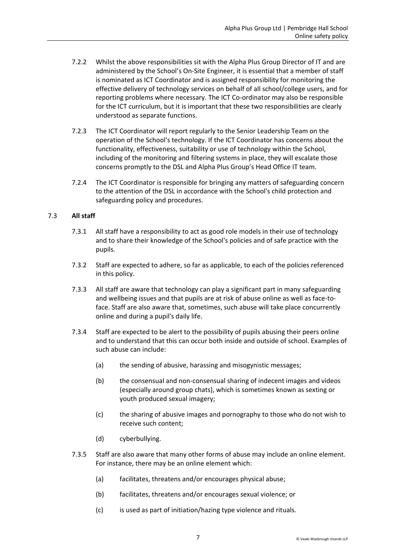- 7.2.2 Whilst the above responsibilities sit with the Alpha Plus Group Director of IT and are administered by the School's On-Site Engineer, it is essential that a member of staff is nominated as ICT Coordinator and is assigned responsibility for monitoring the effective delivery of technology services on behalf of all school/college users, and for reporting problems where necessary. The ICT Co-ordinator may also be responsible for the ICT curriculum, but it is important that these two responsibilities are clearly understood as separate functions.
- 7.2.3 The ICT Coordinator will report regularly to the Senior Leadership Team on the operation of the School's technology. If the ICT Coordinator has concerns about the functionality, effectiveness, suitability or use of technology within the School, including of the monitoring and filtering systems in place, they will escalate those concerns promptly to the DSL and Alpha Plus Group's Head Office IT team.
- 7.2.4 The ICT Coordinator is responsible for bringing any matters of safeguarding concern to the attention of the DSL in accordance with the School's child protection and safeguarding policy and procedures.

#### 7.3 **All staff**

- 7.3.1 All staff have a responsibility to act as good role models in their use of technology and to share their knowledge of the School's policies and of safe practice with the pupils.
- 7.3.2 Staff are expected to adhere, so far as applicable, to each of the policies referenced in this policy.
- 7.3.3 All staff are aware that technology can play a significant part in many safeguarding and wellbeing issues and that pupils are at risk of abuse online as well as face-toface. Staff are also aware that, sometimes, such abuse will take place concurrently online and during a pupil's daily life.
- 7.3.4 Staff are expected to be alert to the possibility of pupils abusing their peers online and to understand that this can occur both inside and outside of school. Examples of such abuse can include:
	- (a) the sending of abusive, harassing and misogynistic messages;
	- (b) the consensual and non-consensual sharing of indecent images and videos (especially around group chats), which is sometimes known as sexting or youth produced sexual imagery;
	- (c) the sharing of abusive images and pornography to those who do not wish to receive such content;
	- (d) cyberbullying.
- 7.3.5 Staff are also aware that many other forms of abuse may include an online element. For instance, there may be an online element which:
	- (a) facilitates, threatens and/or encourages physical abuse;
	- (b) facilitates, threatens and/or encourages sexual violence; or
	- (c) is used as part of initiation/hazing type violence and rituals.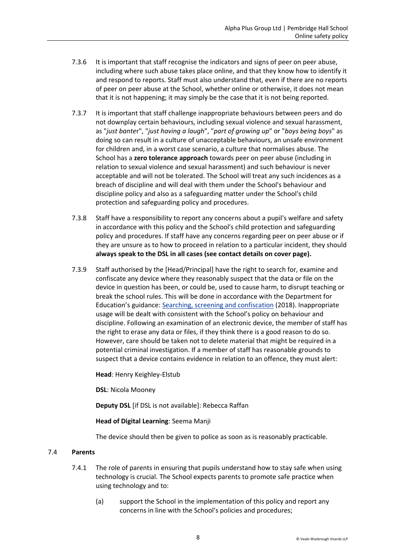- 7.3.6 It is important that staff recognise the indicators and signs of peer on peer abuse, including where such abuse takes place online, and that they know how to identify it and respond to reports. Staff must also understand that, even if there are no reports of peer on peer abuse at the School, whether online or otherwise, it does not mean that it is not happening; it may simply be the case that it is not being reported.
- 7.3.7 It is important that staff challenge inappropriate behaviours between peers and do not downplay certain behaviours, including sexual violence and sexual harassment, as "*just bante*r", "*just having a laugh*", "*part of growing up*" or "*boys being boys*" as doing so can result in a culture of unacceptable behaviours, an unsafe environment for children and, in a worst case scenario, a culture that normalises abuse. The School has a **zero tolerance approach** towards peer on peer abuse (including in relation to sexual violence and sexual harassment) and such behaviour is never acceptable and will not be tolerated. The School will treat any such incidences as a breach of discipline and will deal with them under the School's behaviour and discipline policy and also as a safeguarding matter under the School's child protection and safeguarding policy and procedures.
- 7.3.8 Staff have a responsibility to report any concerns about a pupil's welfare and safety in accordance with this policy and the School's child protection and safeguarding policy and procedures. If staff have any concerns regarding peer on peer abuse or if they are unsure as to how to proceed in relation to a particular incident, they should **always speak to the DSL in all cases (see contact details on cover page).**
- 7.3.9 Staff authorised by the [Head/Principal] have the right to search for, examine and confiscate any device where they reasonably suspect that the data or file on the device in question has been, or could be, used to cause harm, to disrupt teaching or break the school rules. This will be done in accordance with the Department for Education's guidance: [Searching, screening and confiscation](https://www.gov.uk/government/publications/searching-screening-and-confiscation) (2018). Inappropriate usage will be dealt with consistent with the School's policy on behaviour and discipline. Following an examination of an electronic device, the member of staff has the right to erase any data or files, if they think there is a good reason to do so. However, care should be taken not to delete material that might be required in a potential criminal investigation. If a member of staff has reasonable grounds to suspect that a device contains evidence in relation to an offence, they must alert:

**Head**: Henry Keighley-Elstub

**DSL**: Nicola Mooney

**Deputy DSL** [if DSL is not available]: Rebecca Raffan

#### **Head of Digital Learning**: Seema Manji

The device should then be given to police as soon as is reasonably practicable.

#### 7.4 **Parents**

- 7.4.1 The role of parents in ensuring that pupils understand how to stay safe when using technology is crucial. The School expects parents to promote safe practice when using technology and to:
	- (a) support the School in the implementation of this policy and report any concerns in line with the School's policies and procedures;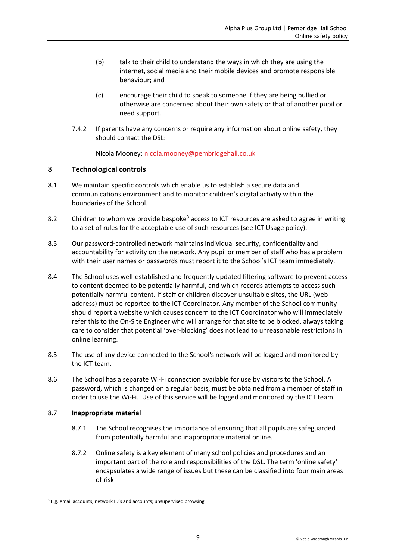- (b) talk to their child to understand the ways in which they are using the internet, social media and their mobile devices and promote responsible behaviour; and
- (c) encourage their child to speak to someone if they are being bullied or otherwise are concerned about their own safety or that of another pupil or need support.
- 7.4.2 If parents have any concerns or require any information about online safety, they should contact the DSL:

Nicola Mooney: [nicola.mooney@pembridgehall.co.uk](mailto:nicola.mooney@pembridgehall.co.uk)

#### <span id="page-8-0"></span>8 **Technological controls**

- 8.1 We maintain specific controls which enable us to establish a secure data and communications environment and to monitor children's digital activity within the boundaries of the School.
- 8.2 Children to whom we provide bespoke<sup>3</sup> access to ICT resources are asked to agree in writing to a set of rules for the acceptable use of such resources (see ICT Usage policy).
- 8.3 Our password-controlled network maintains individual security, confidentiality and accountability for activity on the network. Any pupil or member of staff who has a problem with their user names or passwords must report it to the School's ICT team immediately.
- 8.4 The School uses well-established and frequently updated filtering software to prevent access to content deemed to be potentially harmful, and which records attempts to access such potentially harmful content. If staff or children discover unsuitable sites, the URL (web address) must be reported to the ICT Coordinator. Any member of the School community should report a website which causes concern to the ICT Coordinator who will immediately refer this to the On-Site Engineer who will arrange for that site to be blocked, always taking care to consider that potential 'over-blocking' does not lead to unreasonable restrictions in online learning.
- 8.5 The use of any device connected to the School's network will be logged and monitored by the ICT team.
- 8.6 The School has a separate Wi-Fi connection available for use by visitors to the School. A password, which is changed on a regular basis, must be obtained from a member of staff in order to use the Wi-Fi. Use of this service will be logged and monitored by the ICT team.

#### 8.7 **Inappropriate material**

- 8.7.1 The School recognises the importance of ensuring that all pupils are safeguarded from potentially harmful and inappropriate material online.
- 8.7.2 Online safety is a key element of many school policies and procedures and an important part of the role and responsibilities of the DSL. The term 'online safety' encapsulates a wide range of issues but these can be classified into four main areas of risk

<sup>&</sup>lt;sup>3</sup> E.g. email accounts; network ID's and accounts; unsupervised browsing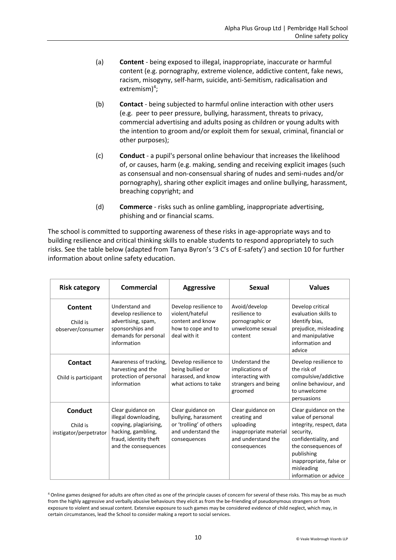- (a) **Content** being exposed to illegal, inappropriate, inaccurate or harmful content (e.g. pornography, extreme violence, addictive content, fake news, racism, misogyny, self-harm, suicide, anti-Semitism, radicalisation and  $extremism)<sup>4</sup>$ ;
- (b) **Contact** being subjected to harmful online interaction with other users (e.g. peer to peer pressure, bullying, harassment, threats to privacy, commercial advertising and adults posing as children or young adults with the intention to groom and/or exploit them for sexual, criminal, financial or other purposes);
- (c) **Conduct** a pupil's personal online behaviour that increases the likelihood of, or causes, harm (e.g. making, sending and receiving explicit images (such as consensual and non-consensual sharing of nudes and semi-nudes and/or pornography), sharing other explicit images and online bullying, harassment, breaching copyright; and
- (d) **Commerce** risks such as online gambling, inappropriate advertising, phishing and or financial scams.

The school is committed to supporting awareness of these risks in age-appropriate ways and to building resilience and critical thinking skills to enable students to respond appropriately to such risks. See the table below (adapted from Tanya Byron's '3 C's of E-safety') and section 10 for further information about online safety education.

| <b>Risk category</b>                                 | <b>Commercial</b>                                                                                                                          | <b>Aggressive</b>                                                                                          | Sexual                                                                                                         | <b>Values</b>                                                                                                                                                                                                      |
|------------------------------------------------------|--------------------------------------------------------------------------------------------------------------------------------------------|------------------------------------------------------------------------------------------------------------|----------------------------------------------------------------------------------------------------------------|--------------------------------------------------------------------------------------------------------------------------------------------------------------------------------------------------------------------|
| Content<br>Child is<br>observer/consumer             | Understand and<br>develop resilience to<br>advertising, spam,<br>sponsorships and<br>demands for personal<br>information                   | Develop resilience to<br>violent/hateful<br>content and know<br>how to cope and to<br>deal with it         | Avoid/develop<br>resilience to<br>pornographic or<br>unwelcome sexual<br>content                               | Develop critical<br>evaluation skills to<br>Identify bias,<br>prejudice, misleading<br>and manipulative<br>information and<br>advice                                                                               |
| <b>Contact</b><br>Child is participant               | Awareness of tracking,<br>harvesting and the<br>protection of personal<br>information                                                      | Develop resilience to<br>being bullied or<br>harassed, and know<br>what actions to take                    | Understand the<br>implications of<br>interacting with<br>strangers and being<br>groomed                        | Develop resilience to<br>the risk of<br>compulsive/addictive<br>online behaviour, and<br>to unwelcome<br>persuasions                                                                                               |
| <b>Conduct</b><br>Child is<br>instigator/perpetrator | Clear guidance on<br>illegal downloading,<br>copying, plagiarising,<br>hacking, gambling,<br>fraud, identity theft<br>and the consequences | Clear guidance on<br>bullying, harassment<br>or 'trolling' of others<br>and understand the<br>consequences | Clear guidance on<br>creating and<br>uploading<br>inappropriate material<br>and understand the<br>consequences | Clear guidance on the<br>value of personal<br>integrity, respect, data<br>security,<br>confidentiality, and<br>the consequences of<br>publishing<br>inappropriate, false or<br>misleading<br>information or advice |

<sup>4</sup> Online games designed for adults are often cited as one of the principle causes of concern for several of these risks. This may be as much from the highly aggressive and verbally abusive behaviours they elicit as from the be-friending of pseudonymous strangers or from exposure to violent and sexual content. Extensive exposure to such games may be considered evidence of child neglect, which may, in certain circumstances, lead the School to consider making a report to social services.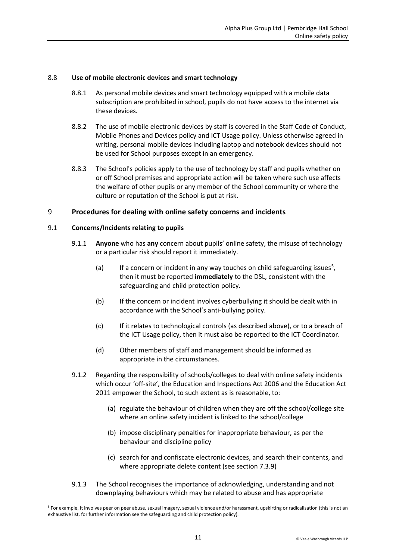#### 8.8 **Use of mobile electronic devices and smart technology**

- 8.8.1 As personal mobile devices and smart technology equipped with a mobile data subscription are prohibited in school, pupils do not have access to the internet via these devices.
- 8.8.2 The use of mobile electronic devices by staff is covered in the Staff Code of Conduct, Mobile Phones and Devices policy and ICT Usage policy. Unless otherwise agreed in writing, personal mobile devices including laptop and notebook devices should not be used for School purposes except in an emergency.
- 8.8.3 The School's policies apply to the use of technology by staff and pupils whether on or off School premises and appropriate action will be taken where such use affects the welfare of other pupils or any member of the School community or where the culture or reputation of the School is put at risk.

#### <span id="page-10-0"></span>9 **Procedures for dealing with online safety concerns and incidents**

#### 9.1 **Concerns/Incidents relating to pupils**

- 9.1.1 **Anyone** who has **any** concern about pupils' online safety, the misuse of technology or a particular risk should report it immediately.
	- (a) If a concern or incident in any way touches on child safeguarding issues<sup>5</sup>, then it must be reported **immediately** to the DSL, consistent with the safeguarding and child protection policy.
	- (b) If the concern or incident involves cyberbullying it should be dealt with in accordance with the School's anti-bullying policy.
	- (c) If it relates to technological controls (as described above), or to a breach of the ICT Usage policy, then it must also be reported to the ICT Coordinator.
	- (d) Other members of staff and management should be informed as appropriate in the circumstances.
- 9.1.2 Regarding the responsibility of schools/colleges to deal with online safety incidents which occur 'off-site', the Education and Inspections Act 2006 and the Education Act 2011 empower the School, to such extent as is reasonable, to:
	- (a) regulate the behaviour of children when they are off the school/college site where an online safety incident is linked to the school/college
	- (b) impose disciplinary penalties for inappropriate behaviour, as per the behaviour and discipline policy
	- (c) search for and confiscate electronic devices, and search their contents, and where appropriate delete content (see section 7.3.9)
- 9.1.3 The School recognises the importance of acknowledging, understanding and not downplaying behaviours which may be related to abuse and has appropriate

<sup>5</sup> For example, it involves peer on peer abuse, sexual imagery, sexual violence and/or harassment, upskirting or radicalisation (this is not an exhaustive list, for further information see the safeguarding and child protection policy).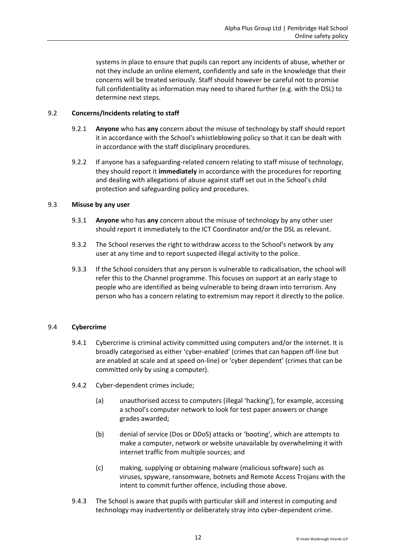systems in place to ensure that pupils can report any incidents of abuse, whether or not they include an online element, confidently and safe in the knowledge that their concerns will be treated seriously. Staff should however be careful not to promise full confidentiality as information may need to shared further (e.g. with the DSL) to determine next steps.

#### 9.2 **Concerns/Incidents relating to staff**

- 9.2.1 **Anyone** who has **any** concern about the misuse of technology by staff should report it in accordance with the School's whistleblowing policy so that it can be dealt with in accordance with the staff disciplinary procedures.
- 9.2.2 If anyone has a safeguarding-related concern relating to staff misuse of technology, they should report it **immediately** in accordance with the procedures for reporting and dealing with allegations of abuse against staff set out in the School's child protection and safeguarding policy and procedures.

#### 9.3 **Misuse by any user**

- 9.3.1 **Anyone** who has **any** concern about the misuse of technology by any other user should report it immediately to the ICT Coordinator and/or the DSL as relevant.
- 9.3.2 The School reserves the right to withdraw access to the School's network by any user at any time and to report suspected illegal activity to the police.
- 9.3.3 If the School considers that any person is vulnerable to radicalisation, the school will refer this to the Channel programme. This focuses on support at an early stage to people who are identified as being vulnerable to being drawn into terrorism. Any person who has a concern relating to extremism may report it directly to the police.

#### 9.4 **Cybercrime**

- 9.4.1 Cybercrime is criminal activity committed using computers and/or the internet. It is broadly categorised as either 'cyber-enabled' (crimes that can happen off-line but are enabled at scale and at speed on-line) or 'cyber dependent' (crimes that can be committed only by using a computer).
- 9.4.2 Cyber-dependent crimes include;
	- (a) unauthorised access to computers (illegal 'hacking'), for example, accessing a school's computer network to look for test paper answers or change grades awarded;
	- (b) denial of service (Dos or DDoS) attacks or 'booting', which are attempts to make a computer, network or website unavailable by overwhelming it with internet traffic from multiple sources; and
	- (c) making, supplying or obtaining malware (malicious software) such as viruses, spyware, ransomware, botnets and Remote Access Trojans with the intent to commit further offence, including those above.
- 9.4.3 The School is aware that pupils with particular skill and interest in computing and technology may inadvertently or deliberately stray into cyber-dependent crime.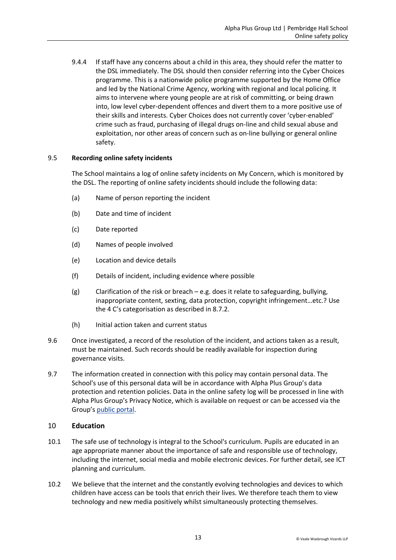9.4.4 If staff have any concerns about a child in this area, they should refer the matter to the DSL immediately. The DSL should then consider referring into the Cyber Choices programme. This is a nationwide police programme supported by the Home Office and led by the National Crime Agency, working with regional and local policing. It aims to intervene where young people are at risk of committing, or being drawn into, low level cyber-dependent offences and divert them to a more positive use of their skills and interests. Cyber Choices does not currently cover 'cyber-enabled' crime such as fraud, purchasing of illegal drugs on-line and child sexual abuse and exploitation, nor other areas of concern such as on-line bullying or general online safety.

#### 9.5 **Recording online safety incidents**

The School maintains a log of online safety incidents on My Concern, which is monitored by the DSL. The reporting of online safety incidents should include the following data:

- (a) Name of person reporting the incident
- (b) Date and time of incident
- (c) Date reported
- (d) Names of people involved
- (e) Location and device details
- (f) Details of incident, including evidence where possible
- (g) Clarification of the risk or breach e.g. does it relate to safeguarding, bullying, inappropriate content, sexting, data protection, copyright infringement…etc.? Use the 4 C's categorisation as described in 8.7.2.
- (h) Initial action taken and current status
- 9.6 Once investigated, a record of the resolution of the incident, and actions taken as a result, must be maintained. Such records should be readily available for inspection during governance visits.
- 9.7 The information created in connection with this policy may contain personal data. The School's use of this personal data will be in accordance with Alpha Plus Group's data protection and retention policies. Data in the online safety log will be processed in line with Alpha Plus Group's Privacy Notice, which is available on request or can be accessed via the Group's [public portal.](https://public-egiportal.alphaplusgroup.co.uk/Alpha%20Plus%20Group%20Documents/Privacy%20Policy%20for%20Students%20and%20Parents.pdf)

#### <span id="page-12-0"></span>10 **Education**

- 10.1 The safe use of technology is integral to the School's curriculum. Pupils are educated in an age appropriate manner about the importance of safe and responsible use of technology, including the internet, social media and mobile electronic devices. For further detail, see ICT planning and curriculum.
- 10.2 We believe that the internet and the constantly evolving technologies and devices to which children have access can be tools that enrich their lives. We therefore teach them to view technology and new media positively whilst simultaneously protecting themselves.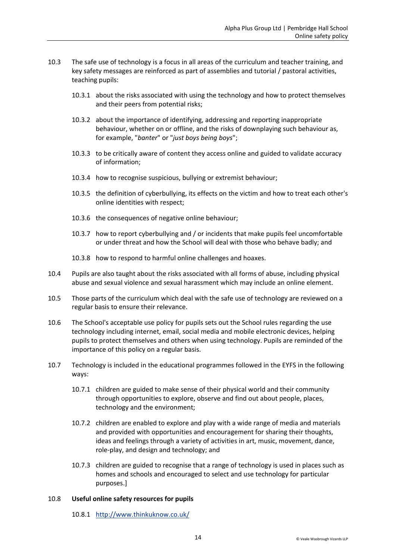- 10.3 The safe use of technology is a focus in all areas of the curriculum and teacher training, and key safety messages are reinforced as part of assemblies and tutorial / pastoral activities, teaching pupils:
	- 10.3.1 about the risks associated with using the technology and how to protect themselves and their peers from potential risks;
	- 10.3.2 about the importance of identifying, addressing and reporting inappropriate behaviour, whether on or offline, and the risks of downplaying such behaviour as, for example, "*banter*" or "*just boys being boys*";
	- 10.3.3 to be critically aware of content they access online and guided to validate accuracy of information;
	- 10.3.4 how to recognise suspicious, bullying or extremist behaviour;
	- 10.3.5 the definition of cyberbullying, its effects on the victim and how to treat each other's online identities with respect;
	- 10.3.6 the consequences of negative online behaviour;
	- 10.3.7 how to report cyberbullying and / or incidents that make pupils feel uncomfortable or under threat and how the School will deal with those who behave badly; and
	- 10.3.8 how to respond to harmful online challenges and hoaxes.
- 10.4 Pupils are also taught about the risks associated with all forms of abuse, including physical abuse and sexual violence and sexual harassment which may include an online element.
- 10.5 Those parts of the curriculum which deal with the safe use of technology are reviewed on a regular basis to ensure their relevance.
- 10.6 The School's acceptable use policy for pupils sets out the School rules regarding the use technology including internet, email, social media and mobile electronic devices, helping pupils to protect themselves and others when using technology. Pupils are reminded of the importance of this policy on a regular basis.
- 10.7 Technology is included in the educational programmes followed in the EYFS in the following ways:
	- 10.7.1 children are guided to make sense of their physical world and their community through opportunities to explore, observe and find out about people, places, technology and the environment;
	- 10.7.2 children are enabled to explore and play with a wide range of media and materials and provided with opportunities and encouragement for sharing their thoughts, ideas and feelings through a variety of activities in art, music, movement, dance, role-play, and design and technology; and
	- 10.7.3 children are guided to recognise that a range of technology is used in places such as homes and schools and encouraged to select and use technology for particular purposes.]

#### 10.8 **Useful online safety resources for pupils**

10.8.1 <http://www.thinkuknow.co.uk/>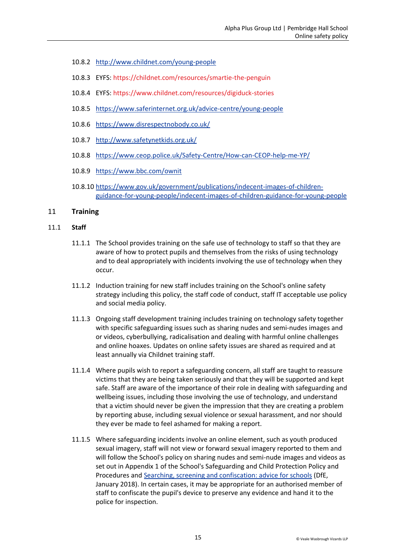- 10.8.2 <http://www.childnet.com/young-people>
- 10.8.3 EYFS:<https://childnet.com/resources/smartie-the-penguin>
- 10.8.4 EYFS:<https://www.childnet.com/resources/digiduck-stories>
- 10.8.5 <https://www.saferinternet.org.uk/advice-centre/young-people>
- 10.8.6 <https://www.disrespectnobody.co.uk/>
- 10.8.7 <http://www.safetynetkids.org.uk/>
- 10.8.8 <https://www.ceop.police.uk/Safety-Centre/How-can-CEOP-help-me-YP/>
- 10.8.9 <https://www.bbc.com/ownit>
- 10.8.10 [https://www.gov.uk/government/publications/indecent-images-of-children](https://www.gov.uk/government/publications/indecent-images-of-children-guidance-for-young-people/indecent-images-of-children-guidance-for-young-people)[guidance-for-young-people/indecent-images-of-children-guidance-for-young-people](https://www.gov.uk/government/publications/indecent-images-of-children-guidance-for-young-people/indecent-images-of-children-guidance-for-young-people)

#### <span id="page-14-0"></span>11 **Training**

#### 11.1 **Staff**

- 11.1.1 The School provides training on the safe use of technology to staff so that they are aware of how to protect pupils and themselves from the risks of using technology and to deal appropriately with incidents involving the use of technology when they occur.
- 11.1.2 Induction training for new staff includes training on the School's online safety strategy including this policy, the staff code of conduct, staff IT acceptable use policy and social media policy.
- 11.1.3 Ongoing staff development training includes training on technology safety together with specific safeguarding issues such as sharing nudes and semi-nudes images and or videos, cyberbullying, radicalisation and dealing with harmful online challenges and online hoaxes. Updates on online safety issues are shared as required and at least annually via Childnet training staff.
- 11.1.4 Where pupils wish to report a safeguarding concern, all staff are taught to reassure victims that they are being taken seriously and that they will be supported and kept safe. Staff are aware of the importance of their role in dealing with safeguarding and wellbeing issues, including those involving the use of technology, and understand that a victim should never be given the impression that they are creating a problem by reporting abuse, including sexual violence or sexual harassment, and nor should they ever be made to feel ashamed for making a report.
- 11.1.5 Where safeguarding incidents involve an online element, such as youth produced sexual imagery, staff will not view or forward sexual imagery reported to them and will follow the School's policy on sharing nudes and semi-nude images and videos as set out in Appendix 1 of the School's Safeguarding and Child Protection Policy and Procedures and [Searching, screening and confiscation: advice for schools](https://www.gov.uk/government/publications/searching-screening-and-confiscation) (DfE, January 2018). In certain cases, it may be appropriate for an authorised member of staff to confiscate the pupil's device to preserve any evidence and hand it to the police for inspection.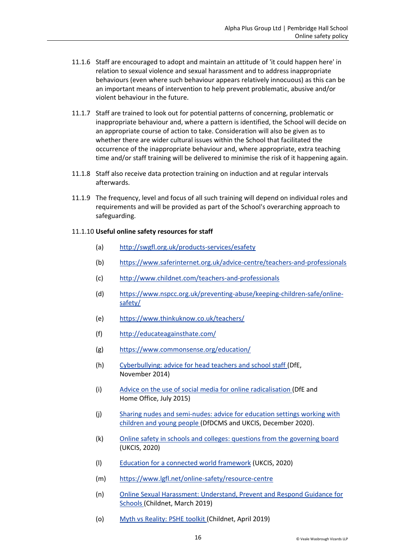- 11.1.6 Staff are encouraged to adopt and maintain an attitude of 'it could happen here' in relation to sexual violence and sexual harassment and to address inappropriate behaviours (even where such behaviour appears relatively innocuous) as this can be an important means of intervention to help prevent problematic, abusive and/or violent behaviour in the future.
- 11.1.7 Staff are trained to look out for potential patterns of concerning, problematic or inappropriate behaviour and, where a pattern is identified, the School will decide on an appropriate course of action to take. Consideration will also be given as to whether there are wider cultural issues within the School that facilitated the occurrence of the inappropriate behaviour and, where appropriate, extra teaching time and/or staff training will be delivered to minimise the risk of it happening again.
- 11.1.8 Staff also receive data protection training on induction and at regular intervals afterwards.
- 11.1.9 The frequency, level and focus of all such training will depend on individual roles and requirements and will be provided as part of the School's overarching approach to safeguarding.

#### 11.1.10 **Useful online safety resources for staff**

- (a) <http://swgfl.org.uk/products-services/esafety>
- (b) <https://www.saferinternet.org.uk/advice-centre/teachers-and-professionals>
- (c) <http://www.childnet.com/teachers-and-professionals>
- (d) [https://www.nspcc.org.uk/preventing-abuse/keeping-children-safe/online](https://www.nspcc.org.uk/preventing-abuse/keeping-children-safe/online-safety/)[safety/](https://www.nspcc.org.uk/preventing-abuse/keeping-children-safe/online-safety/)
- (e) <https://www.thinkuknow.co.uk/teachers/>
- (f) <http://educateagainsthate.com/>
- (g) <https://www.commonsense.org/education/>
- (h) [Cyberbullying: advice for head teachers and school staff \(](https://www.gov.uk/government/publications/preventing-and-tackling-bullying)DfE, November 2014)
- (i) Advice on the use of [social media for online radicalisation](https://www.gov.uk/government/publications/the-use-of-social-media-for-online-radicalisation) (DfE and Home Office, July 2015)
- (j) [Sharing nudes and semi-nudes: advice for education settings working with](https://www.gov.uk/government/publications/sharing-nudes-and-semi-nudes-advice-for-education-settings-working-with-children-and-young-people/sharing-nudes-and-semi-nudes-advice-for-education-settings-working-with-children-and-young-people#sec2)  [children and young people](https://www.gov.uk/government/publications/sharing-nudes-and-semi-nudes-advice-for-education-settings-working-with-children-and-young-people/sharing-nudes-and-semi-nudes-advice-for-education-settings-working-with-children-and-young-people#sec2) (DfDCMS and UKCIS, December 2020).
- (k) [Online safety in schools and colleges: questions from the governing board](https://www.gov.uk/government/uploads/system/uploads/attachment_data/file/562876/Guidance_for_School_Governors_-_Question_list.pdf)  (UKCIS, 2020)
- (l) [Education for a connected world framework](https://assets.publishing.service.gov.uk/government/uploads/system/uploads/attachment_data/file/683895/Education_for_a_connected_world_PDF.PDF) (UKCIS, 2020)
- (m) <https://www.lgfl.net/online-safety/resource-centre>
- (n) [Online Sexual Harassment: Understand, Prevent and Respond Guidance for](https://www.childnet.com/resources/step-up-speak-up/guidance-and-training-for-schools-and-professionals)  [Schools \(](https://www.childnet.com/resources/step-up-speak-up/guidance-and-training-for-schools-and-professionals)Childnet, March 2019)
- (o) [Myth vs Reality: PSHE](https://www.childnet.com/resources/pshe-toolkit/myth-vs-reality) toolkit (Childnet, April 2019)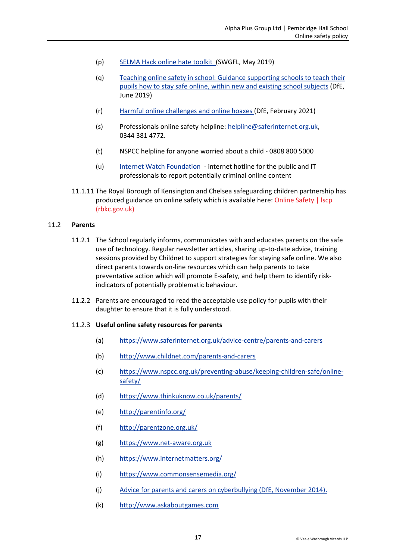- (p) [SELMA Hack online hate toolkit](https://selma.swgfl.co.uk/) (SWGFL, May 2019)
- (q) [Teaching online safety in school: Guidance supporting schools to teach their](https://www.gov.uk/government/publications/teaching-online-safety-in-schools)  [pupils how to stay safe online, within new and existing school subjects](https://www.gov.uk/government/publications/teaching-online-safety-in-schools) (DfE, June 2019)
- (r) [Harmful online challenges and online hoaxes \(](https://www.gov.uk/government/publications/harmful-online-challenges-and-online-hoaxes/harmful-online-challenges-and-online-hoaxes)DfE, February 2021)
- (s) [Professionals online safety helpline:](https://www.saferinternet.org.uk/helpline/professionals-online-safety-helpline) [helpline@saferinternet.org.uk,](mailto:helpline@saferinternet.org.uk) 0344 381 4772.
- (t) NSPCC helpline for anyone worried about a child 0808 800 5000
- (u) Internet Watch Foundation [internet hotline for the public and IT](https://www.iwf.org.uk/)  [professionals to report potentially criminal online content](https://www.iwf.org.uk/)
- 11.1.11 The Royal Borough of Kensington and Chelsea safeguarding children partnership has produced guidance on online safety which is available here[: Online Safety | lscp](https://www.rbkc.gov.uk/lscp/information-professionals-and-volunteers/online-safety)  [\(rbkc.gov.uk\)](https://www.rbkc.gov.uk/lscp/information-professionals-and-volunteers/online-safety)

#### 11.2 **Parents**

- 11.2.1 The School regularly informs, communicates with and educates parents on the safe use of technology. Regular newsletter articles, sharing up-to-date advice, training sessions provided by Childnet to support strategies for staying safe online. We also direct parents towards on-line resources which can help parents to take preventative action which will promote E-safety, and help them to identify riskindicators of potentially problematic behaviour.
- 11.2.2 Parents are encouraged to read the acceptable use policy for pupils with their daughter to ensure that it is fully understood.

#### 11.2.3 **Useful online safety resources for parents**

- (a) <https://www.saferinternet.org.uk/advice-centre/parents-and-carers>
- (b) <http://www.childnet.com/parents-and-carers>
- (c) [https://www.nspcc.org.uk/preventing-abuse/keeping-children-safe/online](https://www.nspcc.org.uk/preventing-abuse/keeping-children-safe/online-safety/)[safety/](https://www.nspcc.org.uk/preventing-abuse/keeping-children-safe/online-safety/)
- (d) <https://www.thinkuknow.co.uk/parents/>
- (e) <http://parentinfo.org/>
- (f) <http://parentzone.org.uk/>
- (g) [https://www.net-aware.org.uk](https://www.net-aware.org.uk/)
- (h) <https://www.internetmatters.org/>
- (i) <https://www.commonsensemedia.org/>
- (j) [Advice for parents and carers on cyberbullying \(DfE, November 2014\).](https://www.gov.uk/government/uploads/system/uploads/attachment_data/file/444865/Advice_for_parents_on_cyberbullying.pdf)
- (k) [http://www.askaboutgames.com](http://www.askaboutgames.com/)